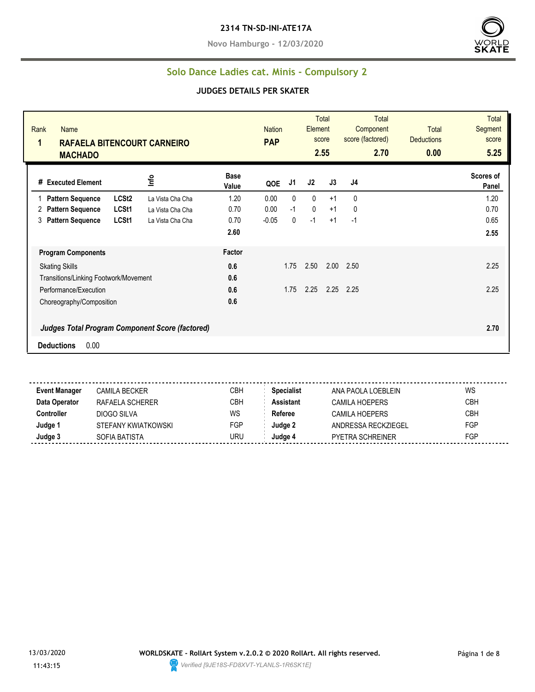#### **2314 TN-SD-INI-ATE17A**

**Novo Hamburgo - 12/03/2020**



#### **Solo Dance Ladies cat. Minis - Compulsory 2**

#### **JUDGES DETAILS PER SKATER**

| Rank<br><b>Name</b><br>$\mathbf{1}$<br><b>RAFAELA BITENCOURT CARNEIRO</b><br><b>MACHADO</b> |                   |                  |                      | <b>Nation</b><br><b>PAP</b> |      | Element     | Total<br>score<br>2.55 | <b>Total</b><br>Component<br>score (factored)<br>2.70 | <b>Total</b><br><b>Deductions</b><br>0.00 | <b>Total</b><br>Segment<br>score<br>5.25 |
|---------------------------------------------------------------------------------------------|-------------------|------------------|----------------------|-----------------------------|------|-------------|------------------------|-------------------------------------------------------|-------------------------------------------|------------------------------------------|
| # Executed Element                                                                          | Info              |                  | <b>Base</b><br>Value | QOE                         | J1   | J2          | J3                     | J4                                                    |                                           | Scores of<br>Panel                       |
| <b>Pattern Sequence</b>                                                                     | LCSt <sub>2</sub> | La Vista Cha Cha | 1.20                 | 0.00                        | 0    | 0           | $+1$                   | 0                                                     |                                           | 1.20                                     |
| <b>Pattern Sequence</b><br>2                                                                | LCSt <sub>1</sub> | La Vista Cha Cha | 0.70                 | 0.00                        | $-1$ | $\mathbf 0$ | $+1$                   | 0                                                     |                                           | 0.70                                     |
| 3<br><b>Pattern Sequence</b>                                                                | LCSt1             | La Vista Cha Cha | 0.70                 | $-0.05$                     | 0    | $-1$        | $+1$                   | $-1$                                                  |                                           | 0.65                                     |
|                                                                                             |                   |                  | 2.60                 |                             |      |             |                        |                                                       |                                           | 2.55                                     |
| <b>Program Components</b>                                                                   |                   |                  | Factor               |                             |      |             |                        |                                                       |                                           |                                          |
| <b>Skating Skills</b>                                                                       |                   |                  | 0.6                  |                             | 1.75 | 2.50        | 2.00                   | 2.50                                                  |                                           | 2.25                                     |
| Transitions/Linking Footwork/Movement                                                       |                   |                  | 0.6                  |                             |      |             |                        |                                                       |                                           |                                          |
| Performance/Execution                                                                       |                   |                  | 0.6                  |                             | 1.75 | 2.25        | 2.25                   | 2.25                                                  |                                           | 2.25                                     |
| Choreography/Composition                                                                    |                   |                  | 0.6                  |                             |      |             |                        |                                                       |                                           |                                          |
| Judges Total Program Component Score (factored)                                             |                   |                  |                      |                             |      |             |                        |                                                       |                                           | 2.70                                     |
| 0.00<br><b>Deductions</b>                                                                   |                   |                  |                      |                             |      |             |                        |                                                       |                                           |                                          |

**Event Manager** CAMILA BECKER CREA CBH **Specialist** ANA PAOLA LOEBLEIN WS **Data Operator** RAFAELA SCHERER CBH **Assistant** CAMILA HOEPERS CBH **Controller** DIOGO SILVA WS Referee CAMILA HOEPERS CBH **Judge 1** STEFANY KWIATKOWSKI FGP **Judge 2** ANDRESSA RECKZIEGEL FGP **Judge 3** SOFIA BATISTA URU **Judge 4** PYETRA SCHREINER FGP

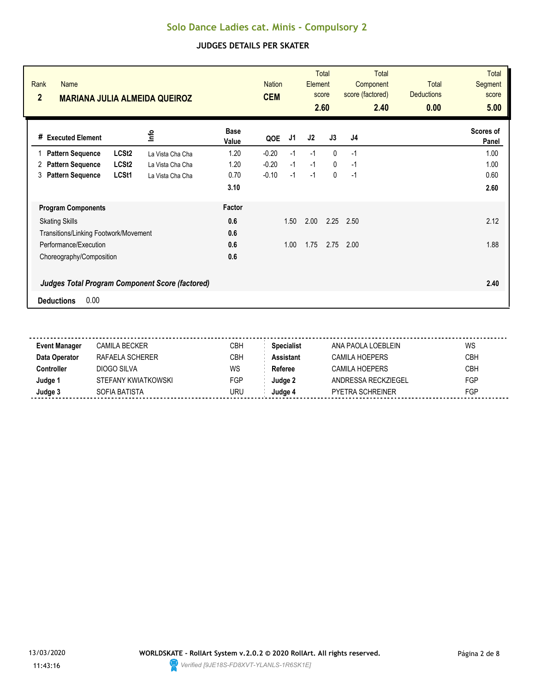| Rank<br>Name<br>$\overline{2}$<br><b>MARIANA JULIA ALMEIDA QUEIROZ</b> |                  |                      | <b>Nation</b><br><b>CEM</b> |      | Element | <b>Total</b><br>score<br>2.60 | Total<br>Component<br>score (factored)<br>2.40 | Total<br><b>Deductions</b><br>0.00 | <b>Total</b><br><b>Segment</b><br>score<br>5.00 |
|------------------------------------------------------------------------|------------------|----------------------|-----------------------------|------|---------|-------------------------------|------------------------------------------------|------------------------------------|-------------------------------------------------|
| <b>Executed Element</b><br>#                                           | <u>o</u>         | <b>Base</b><br>Value | QOE                         | J1   | J2      | J3                            | J4                                             |                                    | Scores of<br>Panel                              |
| LCSt <sub>2</sub><br><b>Pattern Sequence</b>                           | La Vista Cha Cha | 1.20                 | $-0.20$                     | $-1$ | $-1$    | $\mathbf{0}$                  | $-1$                                           |                                    | 1.00                                            |
| LCSt <sub>2</sub><br><b>Pattern Sequence</b><br>2                      | La Vista Cha Cha | 1.20                 | $-0.20$                     | $-1$ | $-1$    | $\mathbf{0}$                  | $-1$                                           |                                    | 1.00                                            |
| <b>Pattern Sequence</b><br>LCSt1<br>3                                  | La Vista Cha Cha | 0.70                 | $-0.10$                     | $-1$ | $-1$    | $\mathbf{0}$                  | $-1$                                           |                                    | 0.60                                            |
|                                                                        |                  | 3.10                 |                             |      |         |                               |                                                |                                    | 2.60                                            |
| <b>Program Components</b>                                              |                  | Factor               |                             |      |         |                               |                                                |                                    |                                                 |
| <b>Skating Skills</b>                                                  |                  | 0.6                  |                             | 1.50 | 2.00    | 2.25                          | 2.50                                           |                                    | 2.12                                            |
| Transitions/Linking Footwork/Movement                                  |                  | 0.6                  |                             |      |         |                               |                                                |                                    |                                                 |
| Performance/Execution                                                  |                  | 0.6                  |                             | 1.00 | 1.75    | 2.75                          | 2.00                                           |                                    | 1.88                                            |
| Choreography/Composition                                               |                  | 0.6                  |                             |      |         |                               |                                                |                                    |                                                 |
| <b>Judges Total Program Component Score (factored)</b>                 |                  |                      |                             |      |         |                               |                                                |                                    | 2.40                                            |
| 0.00<br><b>Deductions</b>                                              |                  |                      |                             |      |         |                               |                                                |                                    |                                                 |

| <b>Event Manager</b> | CAMILA BECKER       | CBH | <b>Specialist</b> | ANA PAOLA LOEBLEIN      | WS         |
|----------------------|---------------------|-----|-------------------|-------------------------|------------|
| Data Operator        | RAFAFI A SCHFRFR    | CBH | <b>Assistant</b>  | CAMILA HOFPERS          | <b>CBH</b> |
| Controller           | DIOGO SILVA         | WS  | Referee           | CAMILA HOFPFRS          | <b>CBH</b> |
| Judge 1              | STEFANY KWIATKOWSKI | FGP | Judge 2           | ANDRESSA RECKZIEGEL     | <b>FGP</b> |
| Judge 3              | SOFIA BATISTA       | URU | Judae 4           | <b>PYETRA SCHREINER</b> | FGP        |
|                      |                     |     |                   |                         |            |

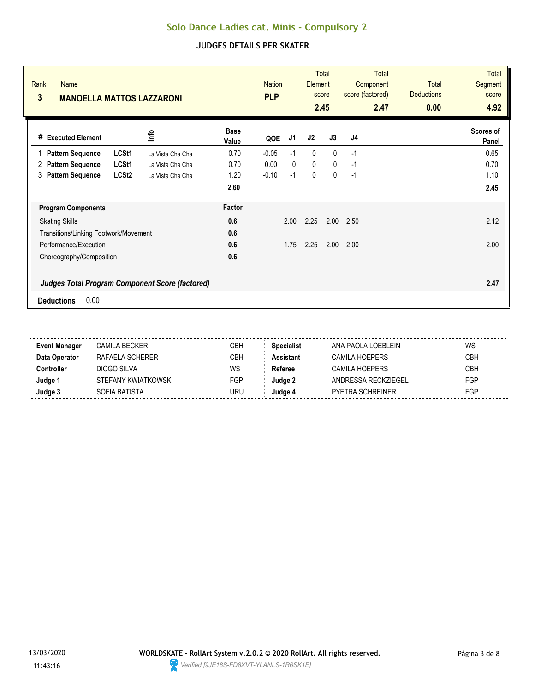| Rank<br><b>Name</b><br>3              | <b>MANOELLA MATTOS LAZZARONI</b>                       |                      | <b>Nation</b><br><b>PLP</b> |              | Element      | <b>Total</b><br>score<br>2.45 | Total<br>Component<br>score (factored)<br>2.47 | <b>Total</b><br><b>Deductions</b><br>0.00 | <b>Total</b><br><b>Segment</b><br>score<br>4.92 |
|---------------------------------------|--------------------------------------------------------|----------------------|-----------------------------|--------------|--------------|-------------------------------|------------------------------------------------|-------------------------------------------|-------------------------------------------------|
| <b>Executed Element</b><br>#          | lnfo                                                   | <b>Base</b><br>Value | QOE                         | J1           | J2           | J3                            | J <sub>4</sub>                                 |                                           | Scores of<br>Panel                              |
| <b>Pattern Sequence</b>               | LCSt1<br>La Vista Cha Cha                              | 0.70                 | $-0.05$                     | $-1$         | $\mathbf{0}$ | $\mathbf{0}$                  | $-1$                                           |                                           | 0.65                                            |
| <b>Pattern Sequence</b><br>2          | LCSt1<br>La Vista Cha Cha                              | 0.70                 | 0.00                        | $\mathbf{0}$ | $\mathbf 0$  | $\mathbf{0}$                  | $-1$                                           |                                           | 0.70                                            |
| <b>Pattern Sequence</b><br>3          | LCSt <sub>2</sub><br>La Vista Cha Cha                  | 1.20                 | $-0.10$                     | $-1$         | 0            | $\mathbf 0$                   | $-1$                                           |                                           | 1.10                                            |
|                                       |                                                        | 2.60                 |                             |              |              |                               |                                                |                                           | 2.45                                            |
| <b>Program Components</b>             |                                                        | Factor               |                             |              |              |                               |                                                |                                           |                                                 |
| <b>Skating Skills</b>                 |                                                        | 0.6                  |                             | 2.00         | 2.25         | 2.00                          | 2.50                                           |                                           | 2.12                                            |
| Transitions/Linking Footwork/Movement |                                                        | 0.6                  |                             |              |              |                               |                                                |                                           |                                                 |
| Performance/Execution                 |                                                        | 0.6                  |                             | 1.75         | 2.25         | 2.00                          | 2.00                                           |                                           | 2.00                                            |
| Choreography/Composition              |                                                        | 0.6                  |                             |              |              |                               |                                                |                                           |                                                 |
|                                       | <b>Judges Total Program Component Score (factored)</b> |                      |                             |              |              |                               |                                                |                                           | 2.47                                            |
| 0.00<br><b>Deductions</b>             |                                                        |                      |                             |              |              |                               |                                                |                                           |                                                 |

| <b>Event Manager</b> | CAMILA BECKER       | CBH | <b>Specialist</b> | ANA PAOLA LOEBLEIN      | WS         |
|----------------------|---------------------|-----|-------------------|-------------------------|------------|
| Data Operator        | RAFAFI A SCHFRFR    | CBH | <b>Assistant</b>  | CAMILA HOFPERS          | <b>CBH</b> |
| Controller           | DIOGO SILVA         | WS  | Referee           | CAMILA HOFPFRS          | <b>CBH</b> |
| Judge 1              | STEFANY KWIATKOWSKI | FGP | Judge 2           | ANDRESSA RECKZIEGEL     | <b>FGP</b> |
| Judge 3              | SOFIA BATISTA       | URU | Judae 4           | <b>PYETRA SCHREINER</b> | FGP        |
|                      |                     |     |                   |                         |            |

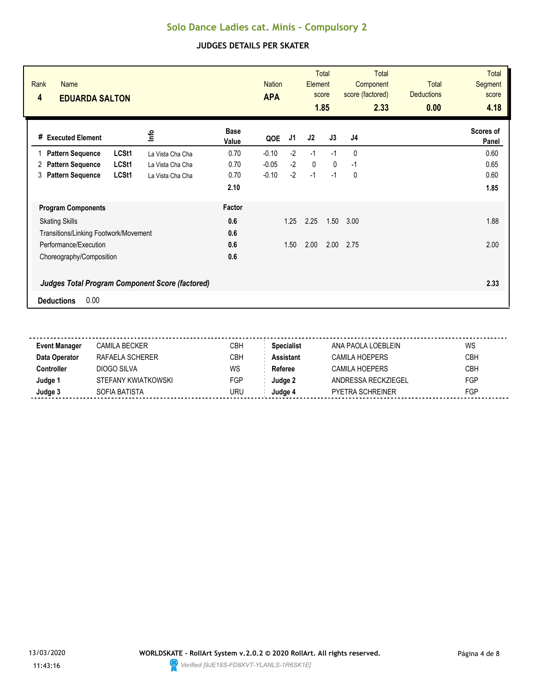| Rank<br><b>Name</b><br>4<br><b>EDUARDA SALTON</b>                                   |                      | <b>Nation</b><br><b>APA</b> |      | Element | <b>Total</b><br>score<br>1.85 | <b>Total</b><br>Component<br>score (factored)<br>2.33 | <b>Total</b><br><b>Deductions</b><br>0.00 | <b>Total</b><br><b>Segment</b><br>score<br>4.18 |
|-------------------------------------------------------------------------------------|----------------------|-----------------------------|------|---------|-------------------------------|-------------------------------------------------------|-------------------------------------------|-------------------------------------------------|
| lnfo<br># Executed Element                                                          | <b>Base</b><br>Value | QOE                         | J1   | J2      | J3                            | J <sub>4</sub>                                        |                                           | Scores of<br>Panel                              |
| LCSt1<br><b>Pattern Sequence</b><br>La Vista Cha Cha                                | 0.70                 | $-0.10$                     | $-2$ | $-1$    | $-1$                          | $\mathbf{0}$                                          |                                           | 0.60                                            |
| <b>Pattern Sequence</b><br>LCSt1<br>2<br>La Vista Cha Cha                           | 0.70                 | $-0.05$                     | $-2$ | 0       | $\mathbf{0}$                  | $-1$                                                  |                                           | 0.65                                            |
| <b>Pattern Sequence</b><br>LCSt1<br>3<br>La Vista Cha Cha                           | 0.70                 | $-0.10$                     | $-2$ | $-1$    | $-1$                          | 0                                                     |                                           | 0.60                                            |
|                                                                                     | 2.10                 |                             |      |         |                               |                                                       |                                           | 1.85                                            |
| <b>Program Components</b>                                                           | Factor               |                             |      |         |                               |                                                       |                                           |                                                 |
| <b>Skating Skills</b>                                                               | 0.6                  |                             | 1.25 | 2.25    | 1.50                          | 3.00                                                  |                                           | 1.88                                            |
| Transitions/Linking Footwork/Movement                                               | 0.6                  |                             |      |         |                               |                                                       |                                           |                                                 |
| Performance/Execution                                                               | 0.6                  |                             | 1.50 | 2.00    | 2.00                          | 2.75                                                  |                                           | 2.00                                            |
| Choreography/Composition                                                            | 0.6                  |                             |      |         |                               |                                                       |                                           |                                                 |
| <b>Judges Total Program Component Score (factored)</b><br>0.00<br><b>Deductions</b> |                      |                             |      |         |                               |                                                       |                                           | 2.33                                            |

| <b>Event Manager</b> | CAMILA BECKER       | CBH | <b>Specialist</b> | ANA PAOLA LOEBLEIN      | WS         |
|----------------------|---------------------|-----|-------------------|-------------------------|------------|
| Data Operator        | RAFAELA SCHERER     | CBH | Assistant         | CAMILA HOEPFRS          | <b>CBH</b> |
| :ontroller           | DIOGO SILVA         | WS  | Referee           | CAMILA HOEPERS          | <b>CBH</b> |
| Judge 1              | STEFANY KWIATKOWSKI | FGP | Judae 2           | ANDRESSA RECKZIEGEL     | <b>FGP</b> |
| Judge 3              | SOFIA BATISTA       | URU | Judae 4           | <b>PYETRA SCHREINER</b> | <b>FGP</b> |
|                      |                     |     |                   |                         |            |

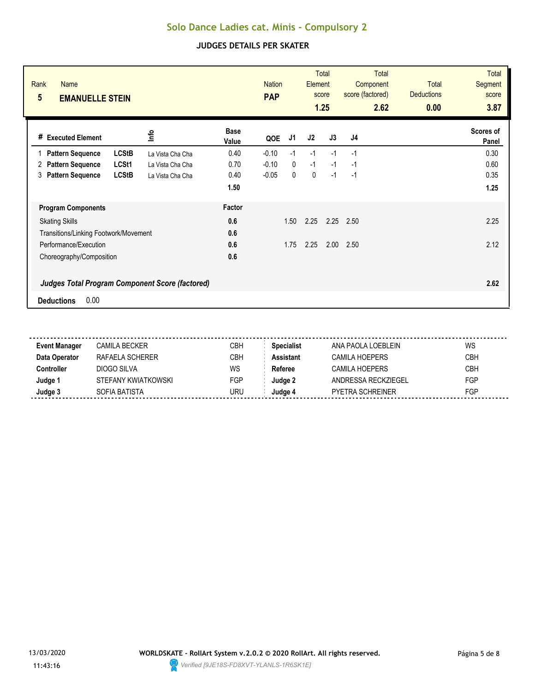| $5\phantom{.0}$<br><b>EMANUELLE STEIN</b>                                           |                      | <b>PAP</b> |              | score | Element<br>1.25 | Component<br>score (factored)<br>2.62 | Total<br><b>Deductions</b><br>0.00 | <b>Segment</b><br>score<br>3.87 |
|-------------------------------------------------------------------------------------|----------------------|------------|--------------|-------|-----------------|---------------------------------------|------------------------------------|---------------------------------|
| lnfo<br># Executed Element                                                          | <b>Base</b><br>Value | QOE        | J1           | J2    | J3              | J <sub>4</sub>                        |                                    | Scores of<br>Panel              |
| <b>LCStB</b><br><b>Pattern Sequence</b><br>La Vista Cha Cha                         | 0.40                 | $-0.10$    | $-1$         | $-1$  | $-1$            | $-1$                                  |                                    | 0.30                            |
| LCSt1<br><b>Pattern Sequence</b><br>2<br>La Vista Cha Cha                           | 0.70                 | $-0.10$    | $\mathbf{0}$ | $-1$  | $-1$            | $-1$                                  |                                    | 0.60                            |
| <b>LCStB</b><br><b>Pattern Sequence</b><br>3<br>La Vista Cha Cha                    | 0.40                 | $-0.05$    | 0            | 0     | $-1$            | $-1$                                  |                                    | 0.35                            |
|                                                                                     | 1.50                 |            |              |       |                 |                                       |                                    | 1.25                            |
| <b>Program Components</b>                                                           | Factor               |            |              |       |                 |                                       |                                    |                                 |
| <b>Skating Skills</b>                                                               | 0.6                  |            | 1.50         | 2.25  | 2.25            | 2.50                                  |                                    | 2.25                            |
| Transitions/Linking Footwork/Movement                                               | 0.6                  |            |              |       |                 |                                       |                                    |                                 |
| Performance/Execution                                                               | 0.6                  |            | 1.75         | 2.25  | 2.00            | 2.50                                  |                                    | 2.12                            |
| Choreography/Composition                                                            | 0.6                  |            |              |       |                 |                                       |                                    |                                 |
| <b>Judges Total Program Component Score (factored)</b><br>0.00<br><b>Deductions</b> |                      |            |              |       |                 |                                       |                                    | 2.62                            |

| <b>Event Manager</b> | CAMILA BECKER       | CBH | <b>Specialist</b> | ANA PAOLA LOEBLEIN      | WS         |
|----------------------|---------------------|-----|-------------------|-------------------------|------------|
| Data Operator        | RAFAFI A SCHFRFR    | CBH | <b>Assistant</b>  | CAMILA HOFPERS          | <b>CBH</b> |
| Controller           | DIOGO SILVA         | WS  | Referee           | CAMILA HOFPFRS          | <b>CBH</b> |
| Judge 1              | STEFANY KWIATKOWSKI | FGP | Judge 2           | ANDRESSA RECKZIEGEL     | <b>FGP</b> |
| Judge 3              | SOFIA BATISTA       | URU | Judae 4           | <b>PYETRA SCHREINER</b> | FGP        |
|                      |                     |     |                   |                         |            |

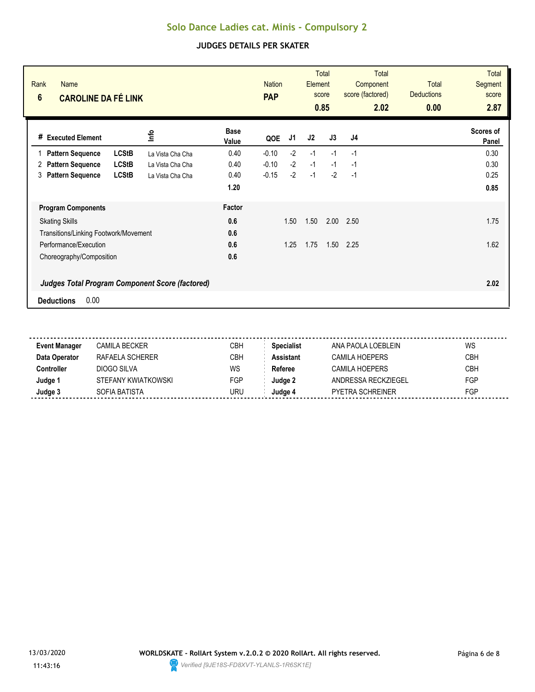| Rank<br><b>Name</b><br>$6\phantom{a}$<br><b>CAROLINE DA FÉ LINK</b> |                  |                      | <b>Nation</b><br><b>PAP</b> |      | Element | <b>Total</b><br>score<br>0.85 | <b>Total</b><br>Component<br>score (factored)<br>2.02 | <b>Total</b><br><b>Deductions</b><br>0.00 | <b>Total</b><br><b>Segment</b><br>score<br>2.87 |
|---------------------------------------------------------------------|------------------|----------------------|-----------------------------|------|---------|-------------------------------|-------------------------------------------------------|-------------------------------------------|-------------------------------------------------|
| # Executed Element                                                  | lnfo             | <b>Base</b><br>Value | QOE                         | J1   | J2      | J3                            | J <sub>4</sub>                                        |                                           | Scores of<br>Panel                              |
| <b>LCStB</b><br><b>Pattern Sequence</b>                             | La Vista Cha Cha | 0.40                 | $-0.10$                     | $-2$ | $-1$    | $-1$                          | $-1$                                                  |                                           | 0.30                                            |
| <b>LCStB</b><br><b>Pattern Sequence</b><br>2                        | La Vista Cha Cha | 0.40                 | $-0.10$                     | $-2$ | $-1$    | $-1$                          | $-1$                                                  |                                           | 0.30                                            |
| <b>LCStB</b><br><b>Pattern Sequence</b><br>3                        | La Vista Cha Cha | 0.40                 | $-0.15$                     | $-2$ | $-1$    | $-2$                          | $-1$                                                  |                                           | 0.25                                            |
|                                                                     |                  | 1.20                 |                             |      |         |                               |                                                       |                                           | 0.85                                            |
| <b>Program Components</b>                                           |                  | Factor               |                             |      |         |                               |                                                       |                                           |                                                 |
| <b>Skating Skills</b>                                               |                  | 0.6                  |                             | 1.50 | 1.50    | 2.00                          | 2.50                                                  |                                           | 1.75                                            |
| Transitions/Linking Footwork/Movement                               |                  | 0.6                  |                             |      |         |                               |                                                       |                                           |                                                 |
| Performance/Execution                                               |                  | 0.6                  |                             | 1.25 | 1.75    | 1.50                          | 2.25                                                  |                                           | 1.62                                            |
| Choreography/Composition                                            |                  | 0.6                  |                             |      |         |                               |                                                       |                                           |                                                 |
| <b>Judges Total Program Component Score (factored)</b>              |                  |                      |                             |      |         |                               |                                                       |                                           | 2.02                                            |
| 0.00<br><b>Deductions</b>                                           |                  |                      |                             |      |         |                               |                                                       |                                           |                                                 |

| <b>Event Manager</b> | CAMILA BECKER       | CBH | <b>Specialist</b> | ANA PAOLA LOEBLEIN      | WS         |
|----------------------|---------------------|-----|-------------------|-------------------------|------------|
| Data Operator        | RAFAFI A SCHFRFR    | CBH | <b>Assistant</b>  | CAMILA HOFPERS          | <b>CBH</b> |
| Controller           | DIOGO SILVA         | WS  | Referee           | CAMILA HOFPFRS          | <b>CBH</b> |
| Judge 1              | STEFANY KWIATKOWSKI | FGP | Judge 2           | ANDRESSA RECKZIEGEL     | <b>FGP</b> |
| Judge 3              | SOFIA BATISTA       | URU | Judae 4           | <b>PYETRA SCHREINER</b> | FGP        |
|                      |                     |     |                   |                         |            |

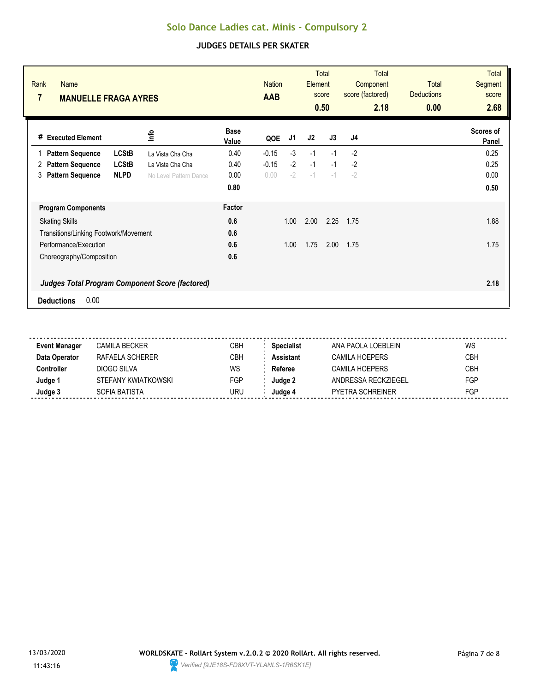| Rank<br><b>Name</b><br>7<br><b>MANUELLE FRAGA AYRES</b>                                                                                |                                                                |                              | <b>Nation</b><br><b>AAB</b> |                      | Element              | <b>Total</b><br>score<br>0.50 | Total<br>Component<br>score (factored)<br>2.18 | <b>Total</b><br><b>Deductions</b><br>0.00 | <b>Total</b><br>Segment<br>score<br>2.68 |
|----------------------------------------------------------------------------------------------------------------------------------------|----------------------------------------------------------------|------------------------------|-----------------------------|----------------------|----------------------|-------------------------------|------------------------------------------------|-------------------------------------------|------------------------------------------|
| <b>Executed Element</b><br>#                                                                                                           | <u>nfo</u>                                                     | <b>Base</b><br>Value         | QOE                         | J1                   | J2                   | J3                            | J <sub>4</sub>                                 |                                           | Scores of<br>Panel                       |
| <b>LCStB</b><br><b>Pattern Sequence</b><br><b>LCStB</b><br><b>Pattern Sequence</b><br>2<br><b>Pattern Sequence</b><br><b>NLPD</b><br>3 | La Vista Cha Cha<br>La Vista Cha Cha<br>No Level Pattern Dance | 0.40<br>0.40<br>0.00<br>0.80 | $-0.15$<br>$-0.15$<br>0.00  | $-3$<br>$-2$<br>$-2$ | $-1$<br>$-1$<br>$-1$ | $-1$<br>$-1$<br>$-1$          | $-2$<br>$-2$<br>$-2$                           |                                           | 0.25<br>0.25<br>0.00<br>0.50             |
| <b>Program Components</b>                                                                                                              |                                                                | Factor                       |                             |                      |                      |                               |                                                |                                           |                                          |
| <b>Skating Skills</b><br>Transitions/Linking Footwork/Movement                                                                         |                                                                | 0.6<br>0.6                   |                             | 1.00                 | 2.00                 | 2.25                          | 1.75                                           |                                           | 1.88                                     |
| Performance/Execution<br>Choreography/Composition                                                                                      |                                                                | 0.6<br>0.6                   |                             | 1.00                 | 1.75                 | 2.00                          | 1.75                                           |                                           | 1.75                                     |
| <b>Judges Total Program Component Score (factored)</b><br>0.00<br><b>Deductions</b>                                                    |                                                                |                              |                             |                      |                      |                               |                                                |                                           | 2.18                                     |

| <b>Event Manager</b> | CAMILA BECKER       | CBH | <b>Specialist</b> | ANA PAOLA LOEBI FIN     | WS         |
|----------------------|---------------------|-----|-------------------|-------------------------|------------|
| Data Operator        | RAFAFI A SCHFRFR    | СВН | Assistant         | CAMILA HOEPFRS          | <b>CBH</b> |
| Controller           | DIOGO SILVA         | WS  | Referee           | CAMILA HOEPERS          | <b>CBH</b> |
| Judge 1              | STEFANY KWIATKOWSKI | FGP | Judae 2           | ANDRESSA RECKZIEGEL     | <b>FGP</b> |
| Judge 3              | SOFIA BATISTA       | URU | Judge 4           | <b>PYETRA SCHREINER</b> | FGP        |
|                      |                     |     |                   |                         |            |